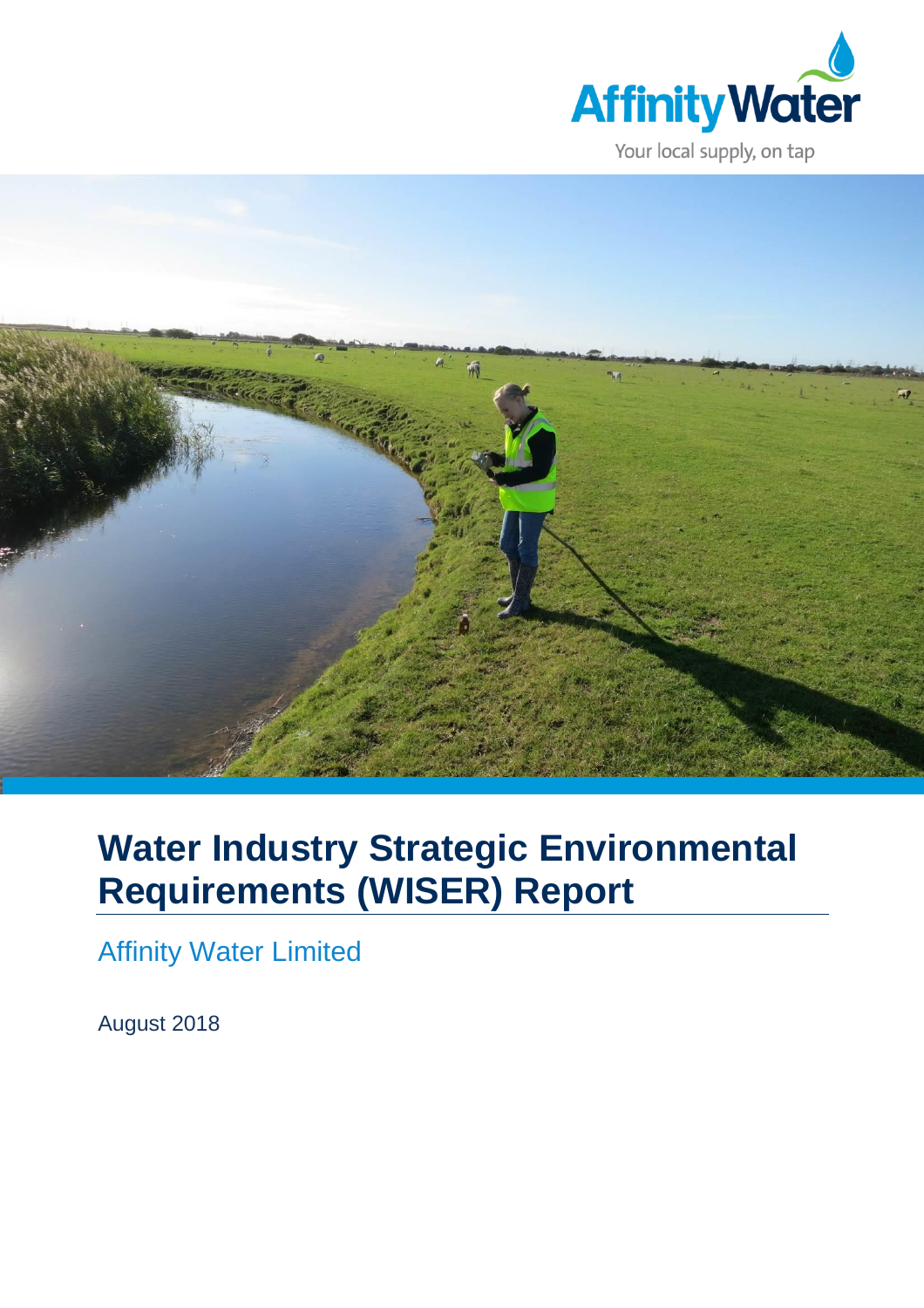



# **Water Industry Strategic Environmental Requirements (WISER) Report**

Affinity Water Limited

August 2018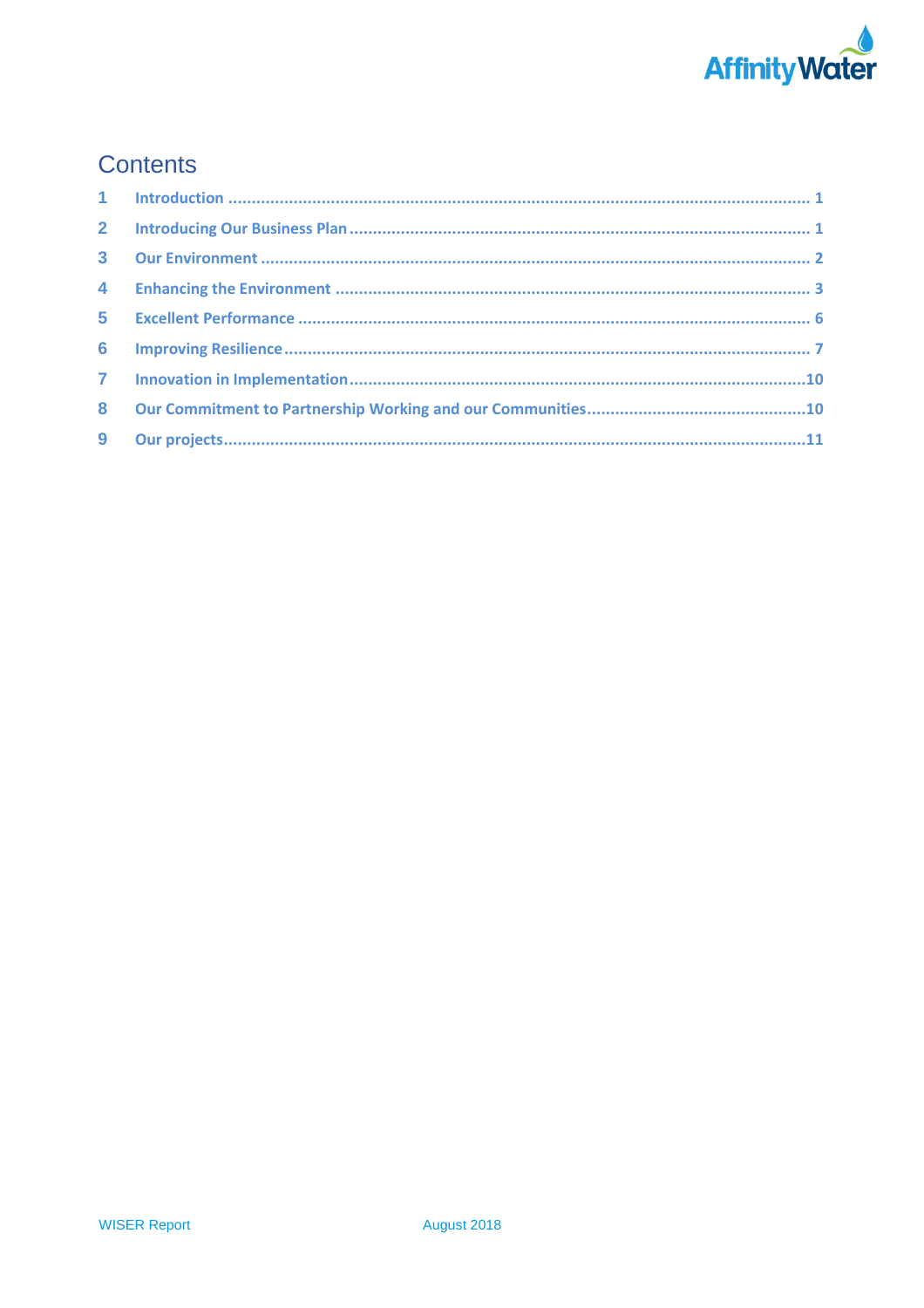

## **Contents**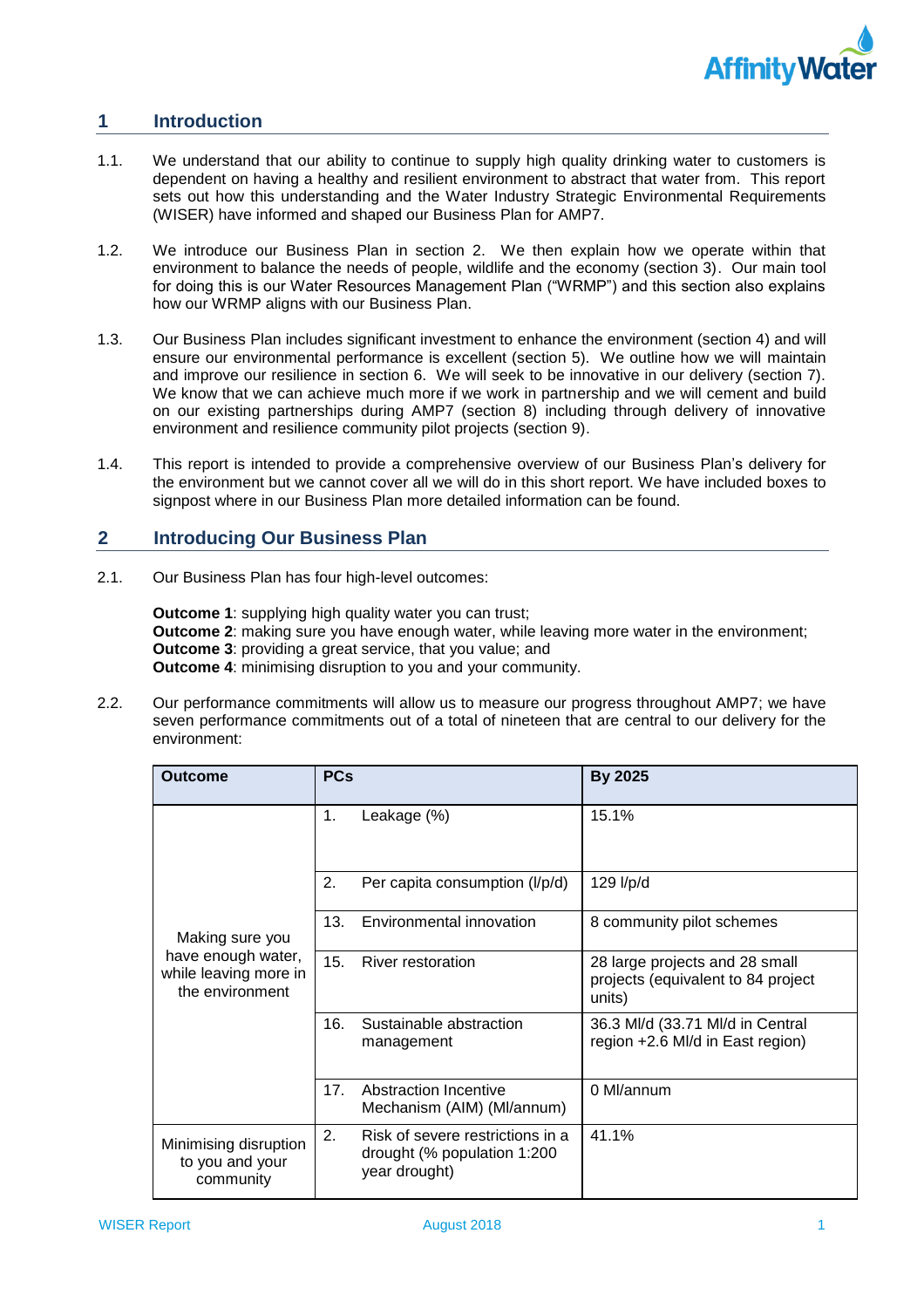

#### <span id="page-2-0"></span>**1 Introduction**

- 1.1. We understand that our ability to continue to supply high quality drinking water to customers is dependent on having a healthy and resilient environment to abstract that water from. This report sets out how this understanding and the Water Industry Strategic Environmental Requirements (WISER) have informed and shaped our Business Plan for AMP7.
- 1.2. We introduce our Business Plan in section 2. We then explain how we operate within that environment to balance the needs of people, wildlife and the economy (section 3). Our main tool for doing this is our Water Resources Management Plan ("WRMP") and this section also explains how our WRMP aligns with our Business Plan.
- ensure our environmental performance is excellent (section 5). We outline how we will maintain and improve our resilience in section 6. We will seek to be innovative in our delivery (section 7). We know that we can achieve much more if we work in partnership and we will cement and build on our existing partnerships during AMP7 (section 8) including through delivery of innovative 1.3. Our Business Plan includes significant investment to enhance the environment (section 4) and will environment and resilience community pilot projects (section 9).
- 1.4. This report is intended to provide a comprehensive overview of our Business Plan's delivery for the environment but we cannot cover all we will do in this short report. We have included boxes to signpost where in our Business Plan more detailed information can be found.

#### <span id="page-2-1"></span>**2 Introducing Our Business Plan**

2.1. Our Business Plan has four high-level outcomes:

 **Outcome 1**: supplying high quality water you can trust; **Outcome 2**: making sure you have enough water, while leaving more water in the environment; **Outcome 3**: providing a great service, that you value; and **Outcome 4**: minimising disruption to you and your community.

 2.2. Our performance commitments will allow us to measure our progress throughout AMP7; we have seven performance commitments out of a total of nineteen that are central to our delivery for the environment:

| <b>Outcome</b>                                                 | <b>PCs</b> |                                                                                  | <b>By 2025</b>                                                                 |
|----------------------------------------------------------------|------------|----------------------------------------------------------------------------------|--------------------------------------------------------------------------------|
|                                                                | 1.         | Leakage (%)                                                                      | 15.1%                                                                          |
|                                                                | 2.         | Per capita consumption (I/p/d)                                                   | 129 l/p/d                                                                      |
| Making sure you                                                | 13.        | Environmental innovation                                                         | 8 community pilot schemes                                                      |
| have enough water,<br>while leaving more in<br>the environment | 15.        | <b>River restoration</b>                                                         | 28 large projects and 28 small<br>projects (equivalent to 84 project<br>units) |
|                                                                | 16.        | Sustainable abstraction<br>management                                            | 36.3 MI/d (33.71 MI/d in Central<br>region +2.6 MI/d in East region)           |
|                                                                | 17.        | Abstraction Incentive<br>Mechanism (AIM) (MI/annum)                              | 0 Ml/annum                                                                     |
| Minimising disruption<br>to you and your<br>community          | 2.         | Risk of severe restrictions in a<br>drought (% population 1:200<br>year drought) | 41.1%                                                                          |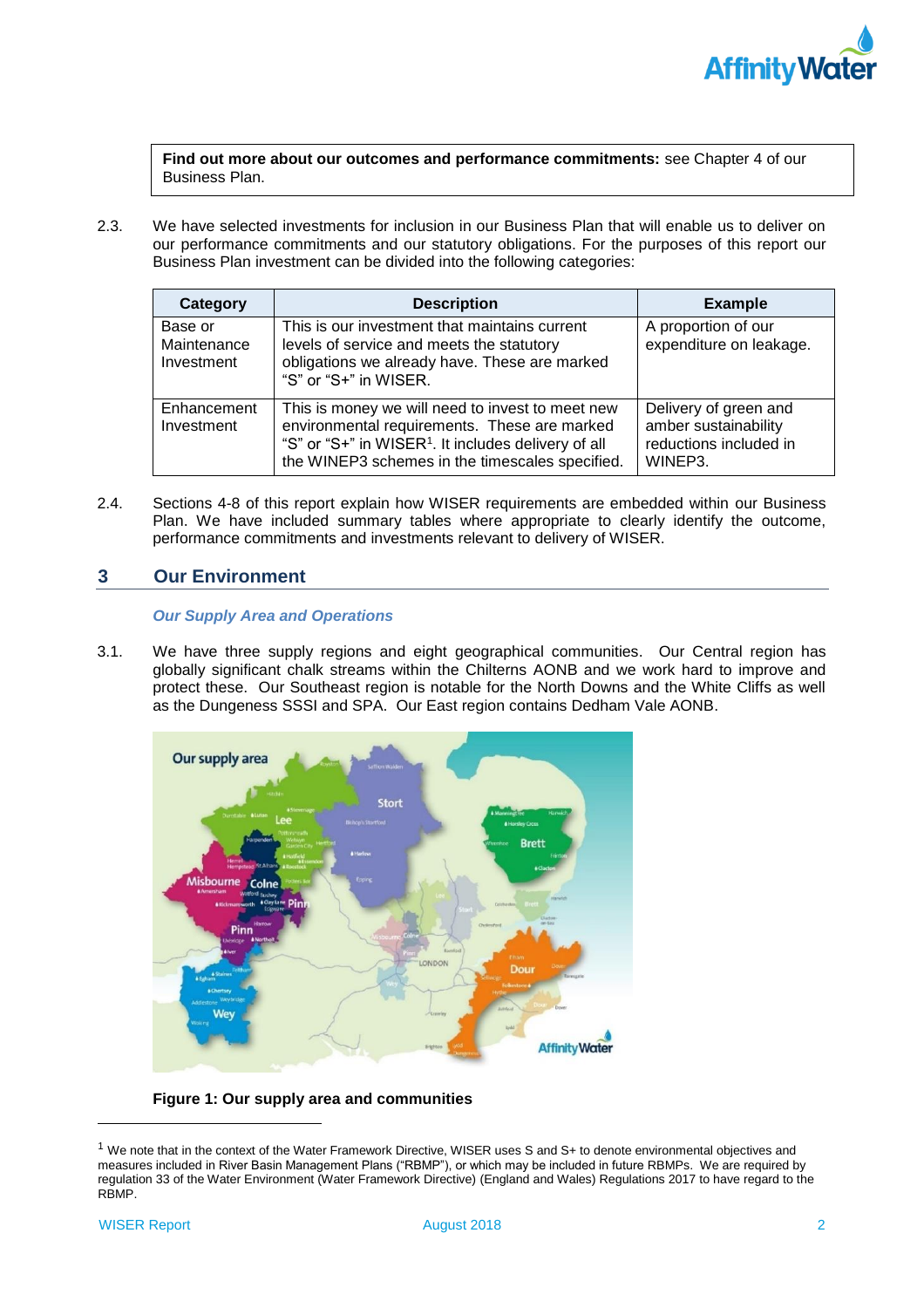

**Find out more about our outcomes and performance commitments:** see Chapter 4 of our Business Plan.

 2.3. We have selected investments for inclusion in our Business Plan that will enable us to deliver on our performance commitments and our statutory obligations. For the purposes of this report our Business Plan investment can be divided into the following categories:

| Category                             | <b>Description</b>                                                                                                                                                                                                     | <b>Example</b>                                                                     |
|--------------------------------------|------------------------------------------------------------------------------------------------------------------------------------------------------------------------------------------------------------------------|------------------------------------------------------------------------------------|
| Base or<br>Maintenance<br>Investment | This is our investment that maintains current<br>levels of service and meets the statutory<br>obligations we already have. These are marked<br>"S" or "S+" in WISER.                                                   | A proportion of our<br>expenditure on leakage.                                     |
| Enhancement<br>Investment            | This is money we will need to invest to meet new<br>environmental requirements. These are marked<br>"S" or "S+" in WISER <sup>1</sup> . It includes delivery of all<br>the WINEP3 schemes in the timescales specified. | Delivery of green and<br>amber sustainability<br>reductions included in<br>WINEP3. |

 2.4. Sections 4-8 of this report explain how WISER requirements are embedded within our Business Plan. We have included summary tables where appropriate to clearly identify the outcome, performance commitments and investments relevant to delivery of WISER.

#### <span id="page-3-0"></span>**3 Our Environment**

### *Our Supply Area and Operations*

 3.1. We have three supply regions and eight geographical communities. Our Central region has globally significant chalk streams within the Chilterns AONB and we work hard to improve and protect these. Our Southeast region is notable for the North Downs and the White Cliffs as well as the Dungeness SSSI and SPA. Our East region contains Dedham Vale AONB.



### **Figure 1: Our supply area and communities**

 $1$  We note that in the context of the Water Framework Directive, WISER uses S and S+ to denote environmental objectives and measures included in River Basin Management Plans ("RBMP"), or which may be included in future RBMPs. We are required by regulation 33 of the Water Environment (Water Framework Directive) (England and Wales) Regulations 2017 to have regard to the RBMP. RBMP. WISER Report August 2018 2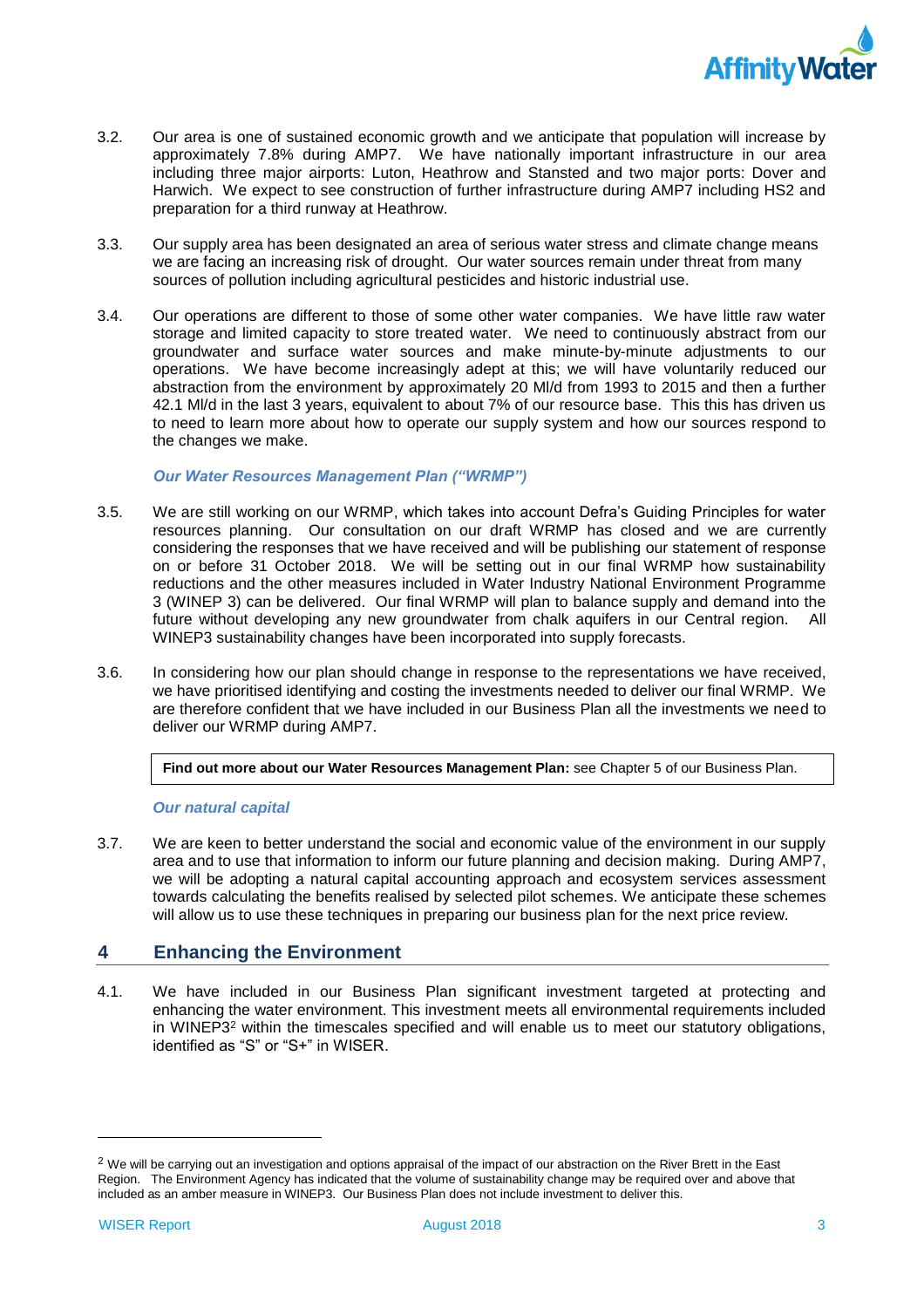

- 3.2. Our area is one of sustained economic growth and we anticipate that population will increase by approximately 7.8% during AMP7. We have nationally important infrastructure in our area including three major airports: Luton, Heathrow and Stansted and two major ports: Dover and Harwich. We expect to see construction of further infrastructure during AMP7 including HS2 and preparation for a third runway at Heathrow.
- we are facing an increasing risk of drought. Our water sources remain under threat from many 3.3. Our supply area has been designated an area of serious water stress and climate change means sources of pollution including agricultural pesticides and historic industrial use.
- 3.4. Our operations are different to those of some other water companies. We have little raw water storage and limited capacity to store treated water. We need to continuously abstract from our groundwater and surface water sources and make minute-by-minute adjustments to our operations. We have become increasingly adept at this; we will have voluntarily reduced our abstraction from the environment by approximately 20 Ml/d from 1993 to 2015 and then a further 42.1 Ml/d in the last 3 years, equivalent to about 7% of our resource base. This this has driven us to need to learn more about how to operate our supply system and how our sources respond to the changes we make.

### *Our Water Resources Management Plan ("WRMP")*

- 3.5. We are still working on our WRMP, which takes into account Defra's Guiding Principles for water resources planning. Our consultation on our draft WRMP has closed and we are currently on or before 31 October 2018. We will be setting out in our final WRMP how sustainability reductions and the other measures included in Water Industry National Environment Programme 3 (WINEP 3) can be delivered. Our final WRMP will plan to balance supply and demand into the future without developing any new groundwater from chalk aquifers in our Central region. All WINEP3 sustainability changes have been incorporated into supply forecasts. considering the responses that we have received and will be publishing our statement of response
- are therefore confident that we have included in our Business Plan all the investments we need to 3.6. In considering how our plan should change in response to the representations we have received, we have prioritised identifying and costing the investments needed to deliver our final WRMP. We deliver our WRMP during AMP7.

**Find out more about our Water Resources Management Plan:** see Chapter 5 of our Business Plan.

### *Our natural capital*

 3.7. We are keen to better understand the social and economic value of the environment in our supply we will be adopting a natural capital accounting approach and ecosystem services assessment towards calculating the benefits realised by selected pilot schemes. We anticipate these schemes area and to use that information to inform our future planning and decision making. During AMP7, will allow us to use these techniques in preparing our business plan for the next price review.

#### <span id="page-4-0"></span>**4 Enhancing the Environment**

 4.1. We have included in our Business Plan significant investment targeted at protecting and enhancing the water environment. This investment meets all environmental requirements included in WINEP32 within the timescales specified and will enable us to meet our statutory obligations, identified as "S" or "S+" in WISER.

 $\overline{a}$ 

 $^2$  We will be carrying out an investigation and options appraisal of the impact of our abstraction on the River Brett in the East Region. The Environment Agency has indicated that the volume of sustainability change may be required over and above that included as an amber measure in WINEP3. Our Business Plan does not include investment to deliver this.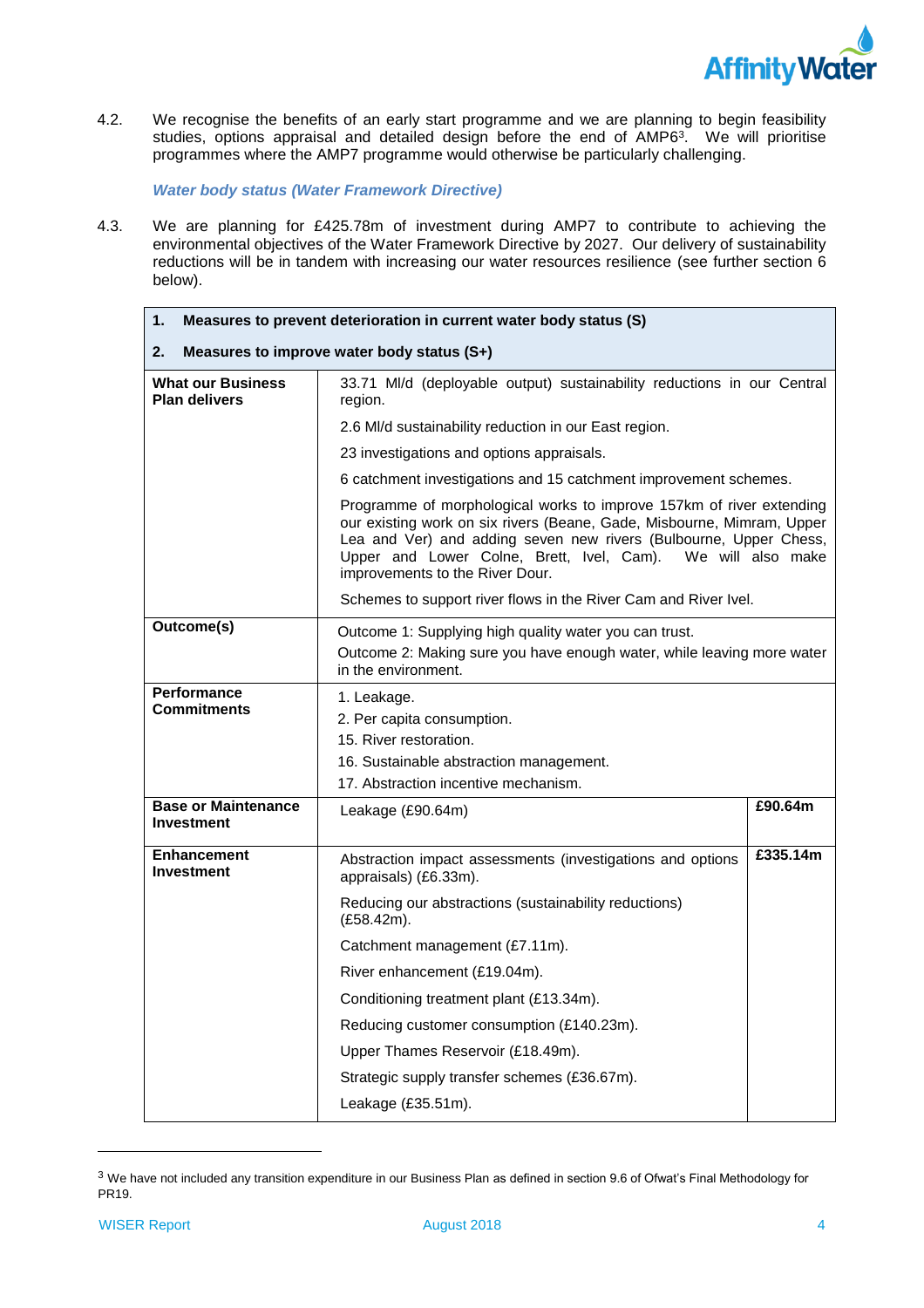

 4.2. We recognise the benefits of an early start programme and we are planning to begin feasibility studies, options appraisal and detailed design before the end of AMP6<sup>3</sup>. We will prioritise programmes where the AMP7 programme would otherwise be particularly challenging.

*Water body status (Water Framework Directive)* 

 4.3. We are planning for £425.78m of investment during AMP7 to contribute to achieving the environmental objectives of the Water Framework Directive by 2027. Our delivery of sustainability reductions will be in tandem with increasing our water resources resilience (see further section 6 below).

| 1.<br>Measures to prevent deterioration in current water body status (S)                                                                                                                                                                                                                                              |                                                                                                                                                         |          |  |  |
|-----------------------------------------------------------------------------------------------------------------------------------------------------------------------------------------------------------------------------------------------------------------------------------------------------------------------|---------------------------------------------------------------------------------------------------------------------------------------------------------|----------|--|--|
| 2.<br>Measures to improve water body status (S+)                                                                                                                                                                                                                                                                      |                                                                                                                                                         |          |  |  |
| 33.71 MI/d (deployable output) sustainability reductions in our Central<br><b>What our Business</b><br><b>Plan delivers</b><br>region.                                                                                                                                                                                |                                                                                                                                                         |          |  |  |
|                                                                                                                                                                                                                                                                                                                       | 2.6 MI/d sustainability reduction in our East region.                                                                                                   |          |  |  |
|                                                                                                                                                                                                                                                                                                                       | 23 investigations and options appraisals.                                                                                                               |          |  |  |
|                                                                                                                                                                                                                                                                                                                       | 6 catchment investigations and 15 catchment improvement schemes.                                                                                        |          |  |  |
| Programme of morphological works to improve 157km of river extending<br>our existing work on six rivers (Beane, Gade, Misbourne, Mimram, Upper<br>Lea and Ver) and adding seven new rivers (Bulbourne, Upper Chess,<br>Upper and Lower Colne, Brett, Ivel, Cam). We will also make<br>improvements to the River Dour. |                                                                                                                                                         |          |  |  |
|                                                                                                                                                                                                                                                                                                                       | Schemes to support river flows in the River Cam and River Ivel.                                                                                         |          |  |  |
| Outcome(s)                                                                                                                                                                                                                                                                                                            | Outcome 1: Supplying high quality water you can trust.<br>Outcome 2: Making sure you have enough water, while leaving more water<br>in the environment. |          |  |  |
| <b>Performance</b><br><b>Commitments</b>                                                                                                                                                                                                                                                                              | 1. Leakage.<br>2. Per capita consumption.<br>15. River restoration.<br>16. Sustainable abstraction management.<br>17. Abstraction incentive mechanism.  |          |  |  |
| <b>Base or Maintenance</b><br><b>Investment</b>                                                                                                                                                                                                                                                                       | Leakage (£90.64m)                                                                                                                                       | £90.64m  |  |  |
| <b>Enhancement</b><br><b>Investment</b>                                                                                                                                                                                                                                                                               | Abstraction impact assessments (investigations and options<br>appraisals) (£6.33m).                                                                     | £335.14m |  |  |
|                                                                                                                                                                                                                                                                                                                       | Reducing our abstractions (sustainability reductions)<br>(E58.42m).                                                                                     |          |  |  |
|                                                                                                                                                                                                                                                                                                                       | Catchment management (£7.11m).                                                                                                                          |          |  |  |
|                                                                                                                                                                                                                                                                                                                       | River enhancement (£19.04m).                                                                                                                            |          |  |  |
|                                                                                                                                                                                                                                                                                                                       | Conditioning treatment plant (£13.34m).                                                                                                                 |          |  |  |
|                                                                                                                                                                                                                                                                                                                       | Reducing customer consumption (£140.23m).                                                                                                               |          |  |  |
|                                                                                                                                                                                                                                                                                                                       | Upper Thames Reservoir (£18.49m).                                                                                                                       |          |  |  |
|                                                                                                                                                                                                                                                                                                                       | Strategic supply transfer schemes (£36.67m).                                                                                                            |          |  |  |
| Leakage (£35.51m).                                                                                                                                                                                                                                                                                                    |                                                                                                                                                         |          |  |  |

 $^3$  We have not included any transition expenditure in our Business Plan as defined in section 9.6 of Ofwat's Final Methodology for PR19.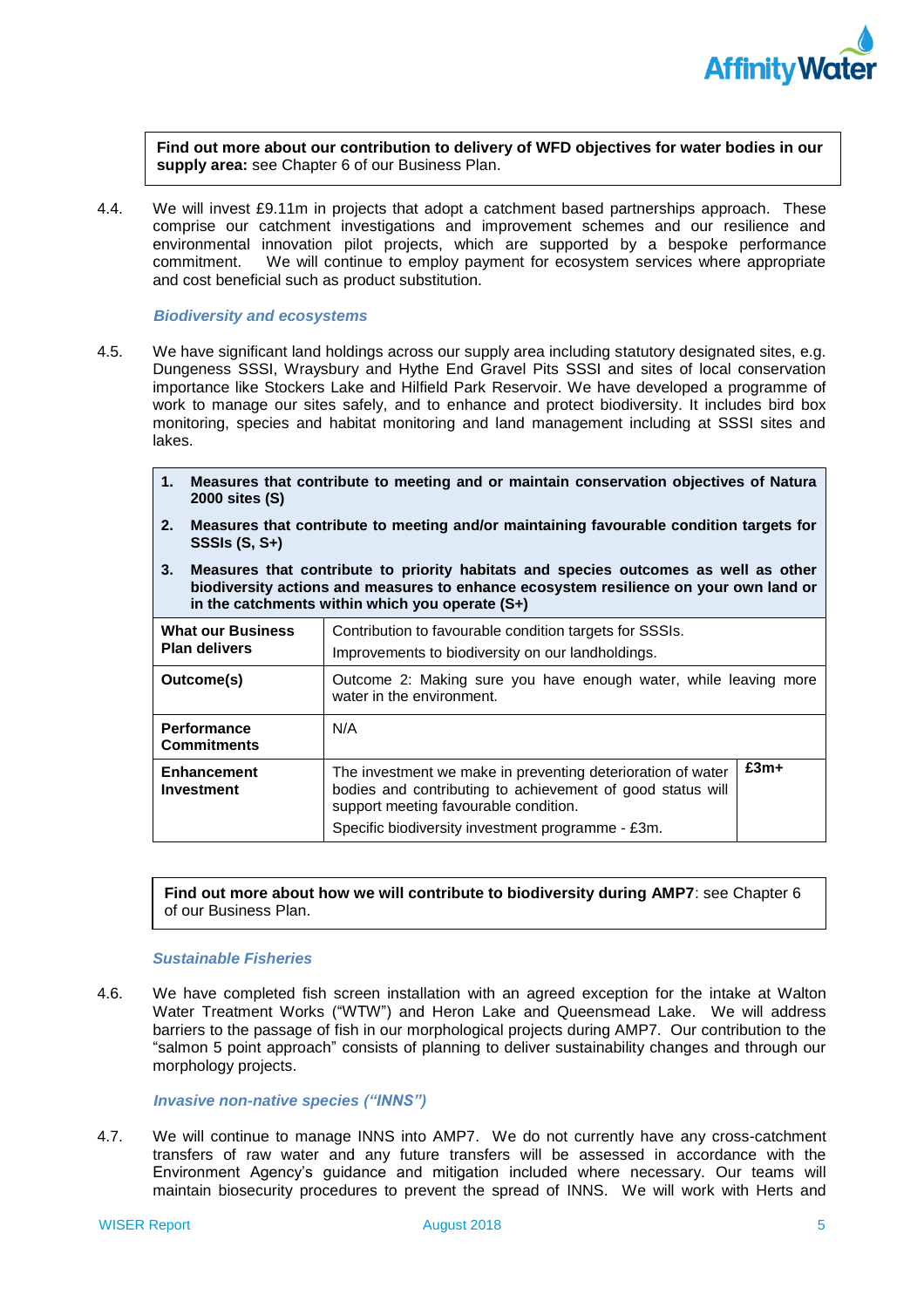

**Find out more about our contribution to delivery of WFD objectives for water bodies in our supply area:** see Chapter 6 of our Business Plan.

 4.4. We will invest £9.11m in projects that adopt a catchment based partnerships approach. These comprise our catchment investigations and improvement schemes and our resilience and environmental innovation pilot projects, which are supported by a bespoke performance commitment. We will continue to employ payment for ecosystem services where appropriate and cost beneficial such as product substitution.

### *Biodiversity and ecosystems*

- 4.5. We have significant land holdings across our supply area including statutory designated sites, e.g. Dungeness SSSI, Wraysbury and Hythe End Gravel Pits SSSI and sites of local conservation work to manage our sites safely, and to enhance and protect biodiversity. It includes bird box monitoring, species and habitat monitoring and land management including at SSSI sites and importance like Stockers Lake and Hilfield Park Reservoir. We have developed a programme of lakes.
	- **1. Measures that contribute to meeting and or maintain conservation objectives of Natura 2000 sites (S)**
	- **2. Measures that contribute to meeting and/or maintaining favourable condition targets for SSSIs (S, S+)**
	- **3. Measures that contribute to priority habitats and species outcomes as well as other biodiversity actions and measures to enhance ecosystem resilience on your own land or in the catchments within which you operate (S+)**

| <b>What our Business</b><br><b>Plan delivers</b> | Contribution to favourable condition targets for SSSIs.<br>Improvements to biodiversity on our landholdings.                                                                                                            |        |
|--------------------------------------------------|-------------------------------------------------------------------------------------------------------------------------------------------------------------------------------------------------------------------------|--------|
| Outcome(s)                                       | Outcome 2: Making sure you have enough water, while leaving more<br>water in the environment.                                                                                                                           |        |
| <b>Performance</b><br><b>Commitments</b>         | N/A                                                                                                                                                                                                                     |        |
| <b>Enhancement</b><br><b>Investment</b>          | The investment we make in preventing deterioration of water<br>bodies and contributing to achievement of good status will<br>support meeting favourable condition.<br>Specific biodiversity investment programme - £3m. | $£3m+$ |

**Find out more about how we will contribute to biodiversity during AMP7**: see Chapter 6 of our Business Plan.

### *Sustainable Fisheries*

 Water Treatment Works ("WTW") and Heron Lake and Queensmead Lake. We will address barriers to the passage of fish in our morphological projects during AMP7. Our contribution to the "salmon 5 point approach" consists of planning to deliver sustainability changes and through our 4.6. We have completed fish screen installation with an agreed exception for the intake at Walton morphology projects.

### *Invasive non-native species ("INNS")*

 4.7. We will continue to manage INNS into AMP7. We do not currently have any cross-catchment transfers of raw water and any future transfers will be assessed in accordance with the maintain biosecurity procedures to prevent the spread of INNS. We will work with Herts and Environment Agency's guidance and mitigation included where necessary. Our teams will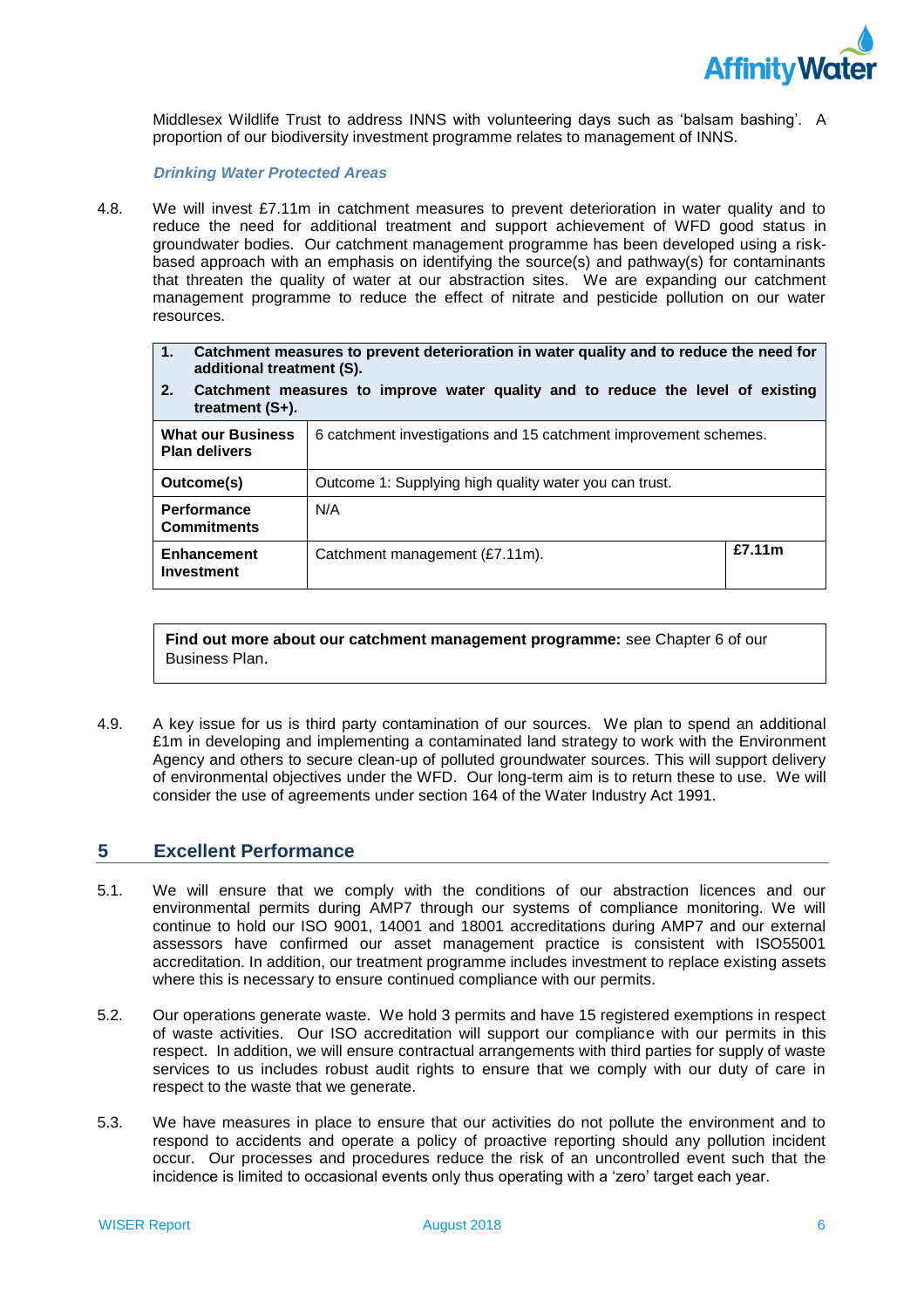

 Middlesex Wildlife Trust to address INNS with volunteering days such as 'balsam bashing'. A proportion of our biodiversity investment programme relates to management of INNS.

*Drinking Water Protected Areas* 

 4.8. We will invest £7.11m in catchment measures to prevent deterioration in water quality and to reduce the need for additional treatment and support achievement of WFD good status in groundwater bodies. Our catchment management programme has been developed using a risk- based approach with an emphasis on identifying the source(s) and pathway(s) for contaminants that threaten the quality of water at our abstraction sites. We are expanding our catchment management programme to reduce the effect of nitrate and pesticide pollution on our water resources.

| Catchment measures to prevent deterioration in water quality and to reduce the need for |
|-----------------------------------------------------------------------------------------|
| additional treatment (S).                                                               |

 **2. Catchment measures to improve water quality and to reduce the level of existing treatment (S+).** 

| <b>What our Business</b><br><b>Plan delivers</b> | 6 catchment investigations and 15 catchment improvement schemes. |        |  |
|--------------------------------------------------|------------------------------------------------------------------|--------|--|
| Outcome(s)                                       | Outcome 1: Supplying high quality water you can trust.           |        |  |
| <b>Performance</b><br><b>Commitments</b>         | N/A                                                              |        |  |
| <b>Enhancement</b><br>Investment                 | Catchment management (£7.11m).                                   | £7.11m |  |

**Find out more about our catchment management programme:** see Chapter 6 of our Business Plan.

 4.9. A key issue for us is third party contamination of our sources. We plan to spend an additional £1m in developing and implementing a contaminated land strategy to work with the Environment Agency and others to secure clean-up of polluted groundwater sources. This will support delivery of environmental objectives under the WFD. Our long-term aim is to return these to use. We will consider the use of agreements under section 164 of the Water Industry Act 1991.

#### <span id="page-7-0"></span>**5 Excellent Performance**

- 5.1. We will ensure that we comply with the conditions of our abstraction licences and our environmental permits during AMP7 through our systems of compliance monitoring. We will continue to hold our ISO 9001, 14001 and 18001 accreditations during AMP7 and our external assessors have confirmed our asset management practice is consistent with ISO55001 accreditation. In addition, our treatment programme includes investment to replace existing assets where this is necessary to ensure continued compliance with our permits.
- 5.2. Our operations generate waste. We hold 3 permits and have 15 registered exemptions in respect of waste activities. Our ISO accreditation will support our compliance with our permits in this respect. In addition, we will ensure contractual arrangements with third parties for supply of waste services to us includes robust audit rights to ensure that we comply with our duty of care in respect to the waste that we generate.
- 5.3. We have measures in place to ensure that our activities do not pollute the environment and to respond to accidents and operate a policy of proactive reporting should any pollution incident occur. Our processes and procedures reduce the risk of an uncontrolled event such that the incidence is limited to occasional events only thus operating with a 'zero' target each year.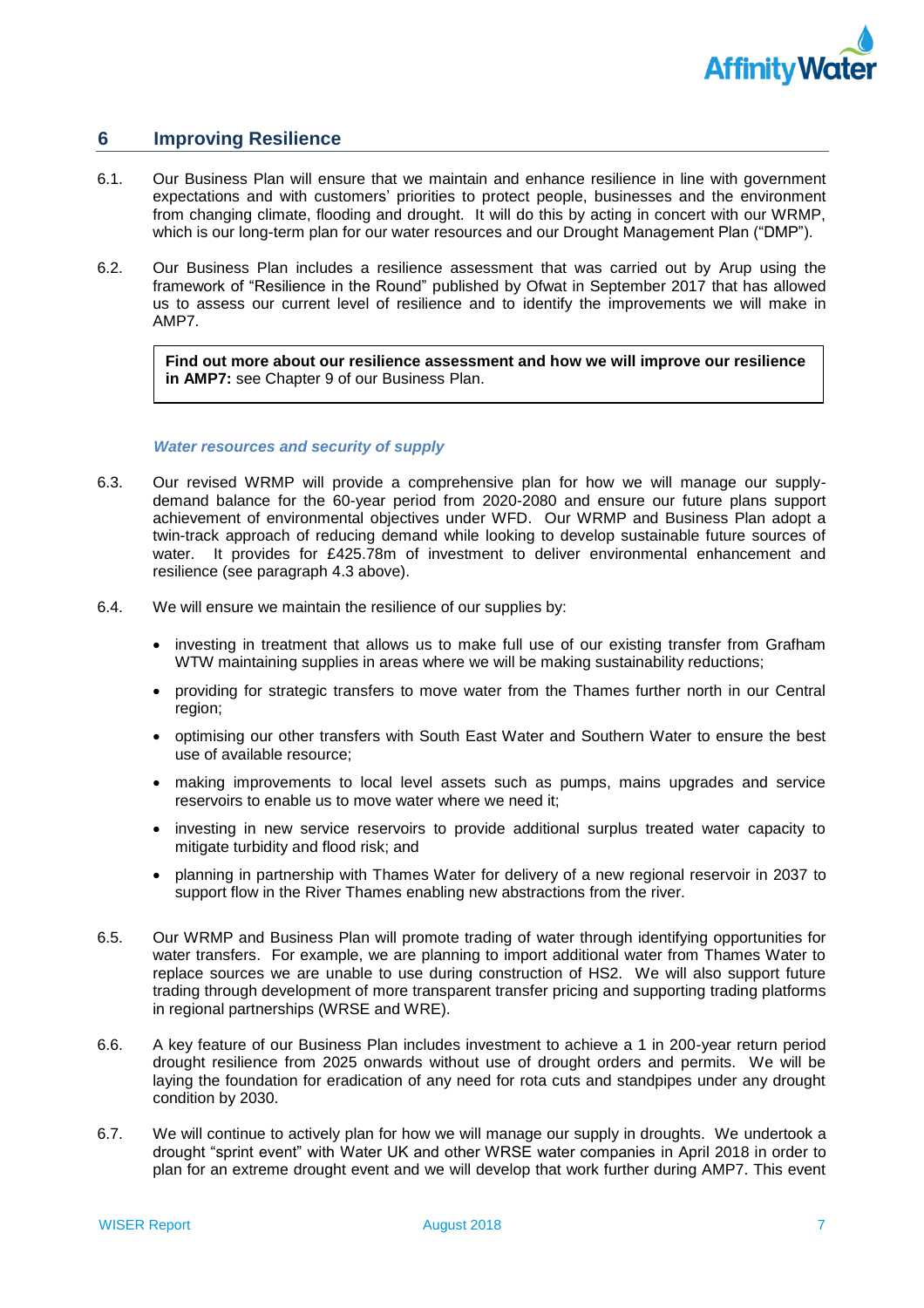

### <span id="page-8-0"></span>**6 Improving Resilience**

- 6.1. Our Business Plan will ensure that we maintain and enhance resilience in line with government expectations and with customers' priorities to protect people, businesses and the environment from changing climate, flooding and drought. It will do this by acting in concert with our WRMP, which is our long-term plan for our water resources and our Drought Management Plan ("DMP").
- 6.2. Our Business Plan includes a resilience assessment that was carried out by Arup using the framework of "Resilience in the Round" published by Ofwat in September 2017 that has allowed us to assess our current level of resilience and to identify the improvements we will make in AMP7.

**Find out more about our resilience assessment and how we will improve our resilience in AMP7:** see Chapter 9 of our Business Plan.

### *Water resources and security of supply*

- 6.3. Our revised WRMP will provide a comprehensive plan for how we will manage our supply- demand balance for the 60-year period from 2020-2080 and ensure our future plans support achievement of environmental objectives under WFD. Our WRMP and Business Plan adopt a twin-track approach of reducing demand while looking to develop sustainable future sources of resilience (see paragraph 4.3 above). water. It provides for £425.78m of investment to deliver environmental enhancement and
- 6.4. We will ensure we maintain the resilience of our supplies by:
	- • investing in treatment that allows us to make full use of our existing transfer from Grafham WTW maintaining supplies in areas where we will be making sustainability reductions;
	- • providing for strategic transfers to move water from the Thames further north in our Central region;
	- • optimising our other transfers with South East Water and Southern Water to ensure the best use of available resource;
	- • making improvements to local level assets such as pumps, mains upgrades and service reservoirs to enable us to move water where we need it;
	- • investing in new service reservoirs to provide additional surplus treated water capacity to mitigate turbidity and flood risk; and
	- • planning in partnership with Thames Water for delivery of a new regional reservoir in 2037 to support flow in the River Thames enabling new abstractions from the river.
- 6.5. Our WRMP and Business Plan will promote trading of water through identifying opportunities for water transfers. For example, we are planning to import additional water from Thames Water to replace sources we are unable to use during construction of HS2. We will also support future trading through development of more transparent transfer pricing and supporting trading platforms in regional partnerships (WRSE and WRE).
- 6.6. A key feature of our Business Plan includes investment to achieve a 1 in 200-year return period drought resilience from 2025 onwards without use of drought orders and permits. We will be laying the foundation for eradication of any need for rota cuts and standpipes under any drought condition by 2030.
- condition by 2030.<br>6.7. We will continue to actively plan for how we will manage our supply in droughts. We undertook a drought "sprint event" with Water UK and other WRSE water companies in April 2018 in order to plan for an extreme drought event and we will develop that work further during AMP7. This event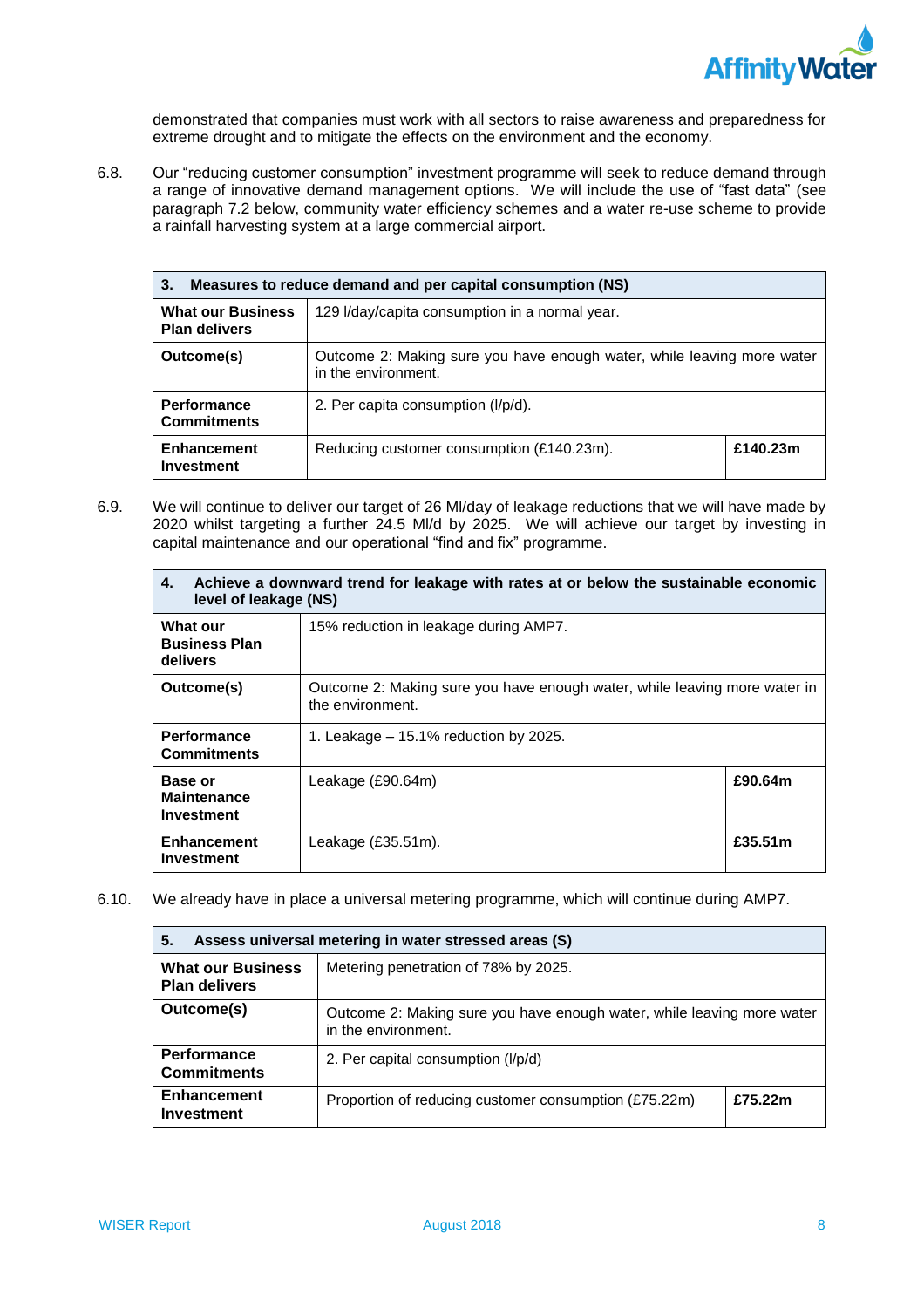

demonstrated that companies must work with all sectors to raise awareness and preparedness for extreme drought and to mitigate the effects on the environment and the economy.

 a range of innovative demand management options. We will include the use of "fast data" (see 6.8. Our "reducing customer consumption" investment programme will seek to reduce demand through paragraph 7.2 below, community water efficiency schemes and a water re-use scheme to provide a rainfall harvesting system at a large commercial airport.

| Measures to reduce demand and per capital consumption (NS)<br>3.                                   |                                                                                               |          |  |  |
|----------------------------------------------------------------------------------------------------|-----------------------------------------------------------------------------------------------|----------|--|--|
| <b>What our Business</b><br>129 I/day/capita consumption in a normal year.<br><b>Plan delivers</b> |                                                                                               |          |  |  |
| Outcome(s)                                                                                         | Outcome 2: Making sure you have enough water, while leaving more water<br>in the environment. |          |  |  |
| <b>Performance</b><br><b>Commitments</b>                                                           | 2. Per capita consumption (I/p/d).                                                            |          |  |  |
| Enhancement<br><b>Investment</b>                                                                   | Reducing customer consumption (£140.23m).                                                     | £140.23m |  |  |

 2020 whilst targeting a further 24.5 Ml/d by 2025. We will achieve our target by investing in 6.9. We will continue to deliver our target of 26 Ml/day of leakage reductions that we will have made by capital maintenance and our operational "find and fix" programme.

| 4.                                                  | Achieve a downward trend for leakage with rates at or below the sustainable economic<br>level of leakage (NS) |         |  |  |
|-----------------------------------------------------|---------------------------------------------------------------------------------------------------------------|---------|--|--|
| <b>What our</b><br><b>Business Plan</b><br>delivers | 15% reduction in leakage during AMP7.                                                                         |         |  |  |
| Outcome(s)                                          | Outcome 2: Making sure you have enough water, while leaving more water in<br>the environment.                 |         |  |  |
| <b>Performance</b><br><b>Commitments</b>            | 1. Leakage $-15.1\%$ reduction by 2025.                                                                       |         |  |  |
| Base or<br><b>Maintenance</b><br>Investment         | Leakage (£90.64m)                                                                                             | £90.64m |  |  |
| Enhancement<br>Investment                           | Leakage $(E35.51m)$ .                                                                                         | £35.51m |  |  |

6.10. We already have in place a universal metering programme, which will continue during AMP7.

| 5.<br>Assess universal metering in water stressed areas (S) |                                                                                               |         |
|-------------------------------------------------------------|-----------------------------------------------------------------------------------------------|---------|
| <b>What our Business</b><br><b>Plan delivers</b>            | Metering penetration of 78% by 2025.                                                          |         |
| Outcome(s)                                                  | Outcome 2: Making sure you have enough water, while leaving more water<br>in the environment. |         |
| <b>Performance</b><br><b>Commitments</b>                    | 2. Per capital consumption (I/p/d)                                                            |         |
| <b>Enhancement</b><br><b>Investment</b>                     | Proportion of reducing customer consumption (£75.22m)                                         | £75.22m |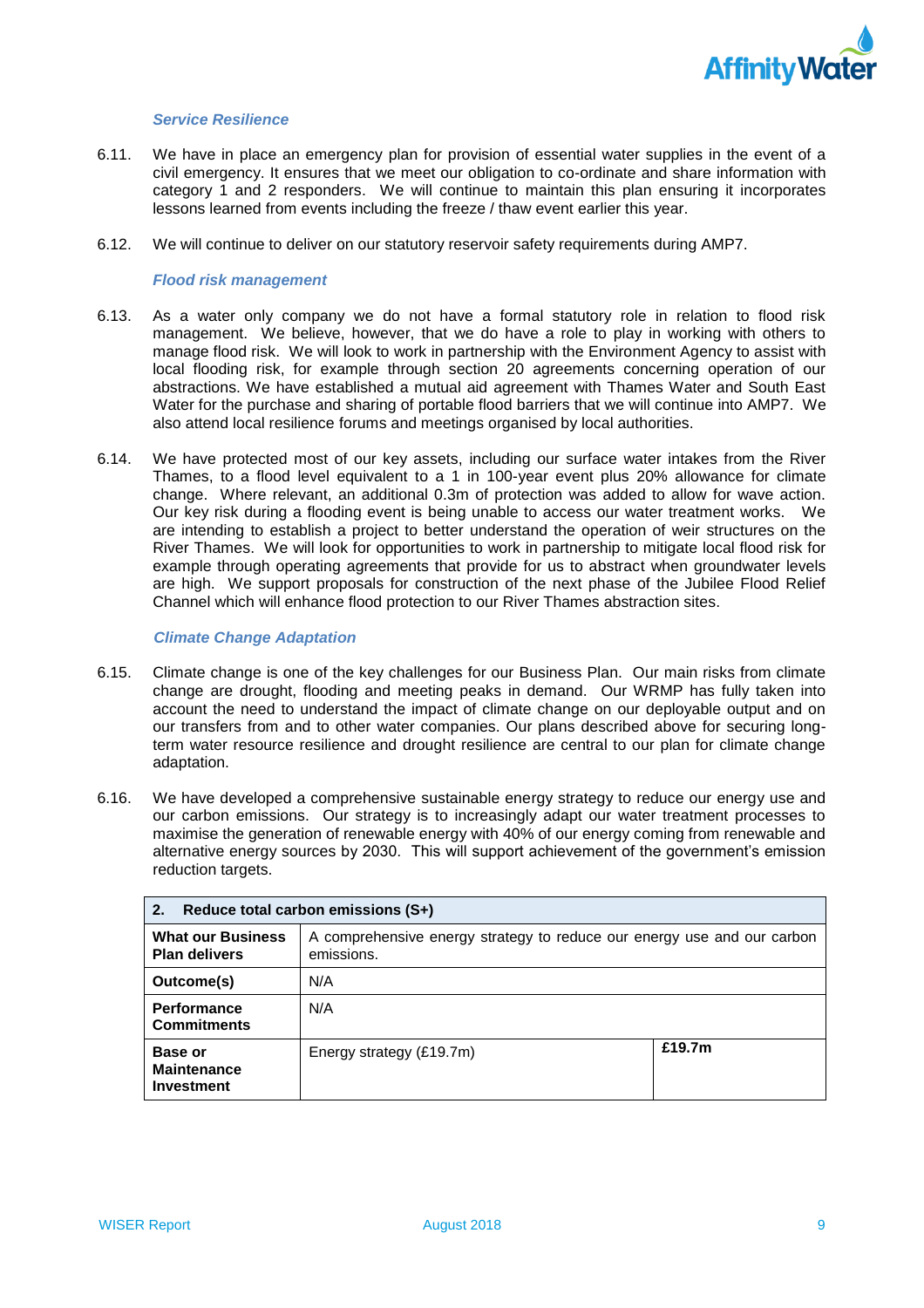

### *Service Resilience*

- 6.11. We have in place an emergency plan for provision of essential water supplies in the event of a civil emergency. It ensures that we meet our obligation to co-ordinate and share information with category 1 and 2 responders. We will continue to maintain this plan ensuring it incorporates lessons learned from events including the freeze / thaw event earlier this year.
- 6.12. We will continue to deliver on our statutory reservoir safety requirements during AMP7.

### *Flood risk management*

- 6.13. As a water only company we do not have a formal statutory role in relation to flood risk management. We believe, however, that we do have a role to play in working with others to manage flood risk. We will look to work in partnership with the Environment Agency to assist with local flooding risk, for example through section 20 agreements concerning operation of our abstractions. We have established a mutual aid agreement with Thames Water and South East Water for the purchase and sharing of portable flood barriers that we will continue into AMP7. We also attend local resilience forums and meetings organised by local authorities.
- 6.14. We have protected most of our key assets, including our surface water intakes from the River Thames, to a flood level equivalent to a 1 in 100-year event plus 20% allowance for climate change. Where relevant, an additional 0.3m of protection was added to allow for wave action. Our key risk during a flooding event is being unable to access our water treatment works. We are intending to establish a project to better understand the operation of weir structures on the River Thames. We will look for opportunities to work in partnership to mitigate local flood risk for example through operating agreements that provide for us to abstract when groundwater levels are high. We support proposals for construction of the next phase of the Jubilee Flood Relief Channel which will enhance flood protection to our River Thames abstraction sites.

### *Climate Change Adaptation*

- 6.15. Climate change is one of the key challenges for our Business Plan. Our main risks from climate change are drought, flooding and meeting peaks in demand. Our WRMP has fully taken into account the need to understand the impact of climate change on our deployable output and on our transfers from and to other water companies. Our plans described above for securing long- term water resource resilience and drought resilience are central to our plan for climate change adaptation.
- adaptation.<br>6.16. We have developed a comprehensive sustainable energy strategy to reduce our energy use and our carbon emissions. Our strategy is to increasingly adapt our water treatment processes to maximise the generation of renewable energy with 40% of our energy coming from renewable and alternative energy sources by 2030. This will support achievement of the government's emission reduction targets.

| Reduce total carbon emissions (S+)<br>2.           |                                                                                       |        |
|----------------------------------------------------|---------------------------------------------------------------------------------------|--------|
| <b>What our Business</b><br><b>Plan delivers</b>   | A comprehensive energy strategy to reduce our energy use and our carbon<br>emissions. |        |
| Outcome(s)                                         | N/A                                                                                   |        |
| <b>Performance</b><br><b>Commitments</b>           | N/A                                                                                   |        |
| Base or<br><b>Maintenance</b><br><b>Investment</b> | Energy strategy (£19.7m)                                                              | £19.7m |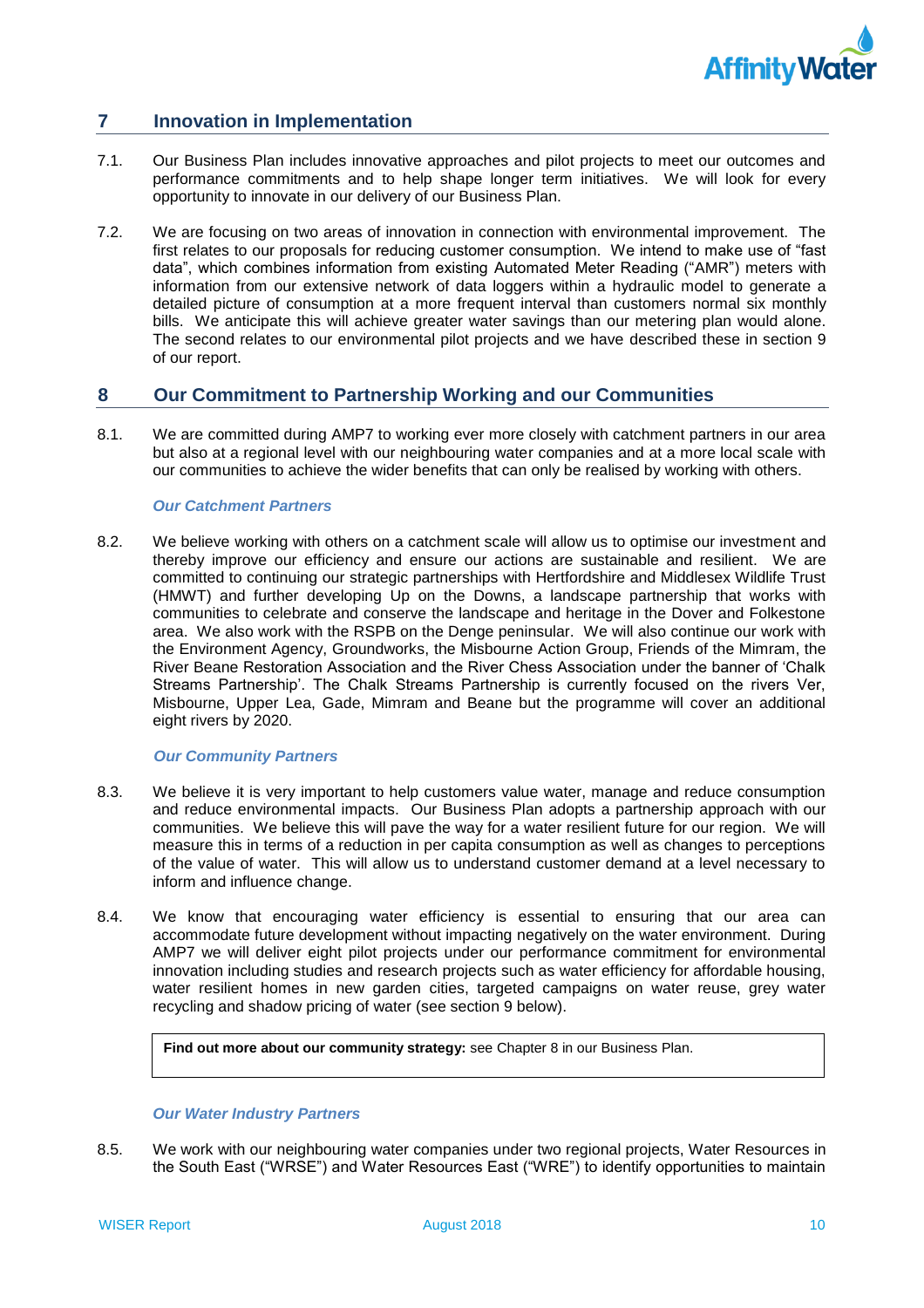

### <span id="page-11-0"></span>**7 Innovation in Implementation**

- 7.1. Our Business Plan includes innovative approaches and pilot projects to meet our outcomes and performance commitments and to help shape longer term initiatives. We will look for every opportunity to innovate in our delivery of our Business Plan.
- 7.2. We are focusing on two areas of innovation in connection with environmental improvement. The first relates to our proposals for reducing customer consumption. We intend to make use of "fast data", which combines information from existing Automated Meter Reading ("AMR") meters with information from our extensive network of data loggers within a hydraulic model to generate a detailed picture of consumption at a more frequent interval than customers normal six monthly bills. We anticipate this will achieve greater water savings than our metering plan would alone. The second relates to our environmental pilot projects and we have described these in section 9 of our report.

### <span id="page-11-1"></span>**8 Our Commitment to Partnership Working and our Communities**

 8.1. We are committed during AMP7 to working ever more closely with catchment partners in our area but also at a regional level with our neighbouring water companies and at a more local scale with our communities to achieve the wider benefits that can only be realised by working with others.

### *Our Catchment Partners*

 8.2. We believe working with others on a catchment scale will allow us to optimise our investment and thereby improve our efficiency and ensure our actions are sustainable and resilient. We are committed to continuing our strategic partnerships with Hertfordshire and Middlesex Wildlife Trust (HMWT) and further developing Up on the Downs, a landscape partnership that works with communities to celebrate and conserve the landscape and heritage in the Dover and Folkestone area. We also work with the RSPB on the Denge peninsular. We will also continue our work with the Environment Agency, Groundworks, the Misbourne Action Group, Friends of the Mimram, the River Beane Restoration Association and the River Chess Association under the banner of 'Chalk Streams Partnership'. The Chalk Streams Partnership is currently focused on the rivers Ver, Misbourne, Upper Lea, Gade, Mimram and Beane but the programme will cover an additional eight rivers by 2020.

### *Our Community Partners*

- 8.3. We believe it is very important to help customers value water, manage and reduce consumption and reduce environmental impacts. Our Business Plan adopts a partnership approach with our communities. We believe this will pave the way for a water resilient future for our region. We will measure this in terms of a reduction in per capita consumption as well as changes to perceptions of the value of water. This will allow us to understand customer demand at a level necessary to inform and influence change.
- 8.4. We know that encouraging water efficiency is essential to ensuring that our area can accommodate future development without impacting negatively on the water environment. During innovation including studies and research projects such as water efficiency for affordable housing, water resilient homes in new garden cities, targeted campaigns on water reuse, grey water AMP7 we will deliver eight pilot projects under our performance commitment for environmental recycling and shadow pricing of water (see section 9 below).

Find out more about our community strategy: see Chapter 8 in our Business Plan.

### *Our Water Industry Partners*

 8.5. We work with our neighbouring water companies under two regional projects, Water Resources in the South East ("WRSE") and Water Resources East ("WRE") to identify opportunities to maintain